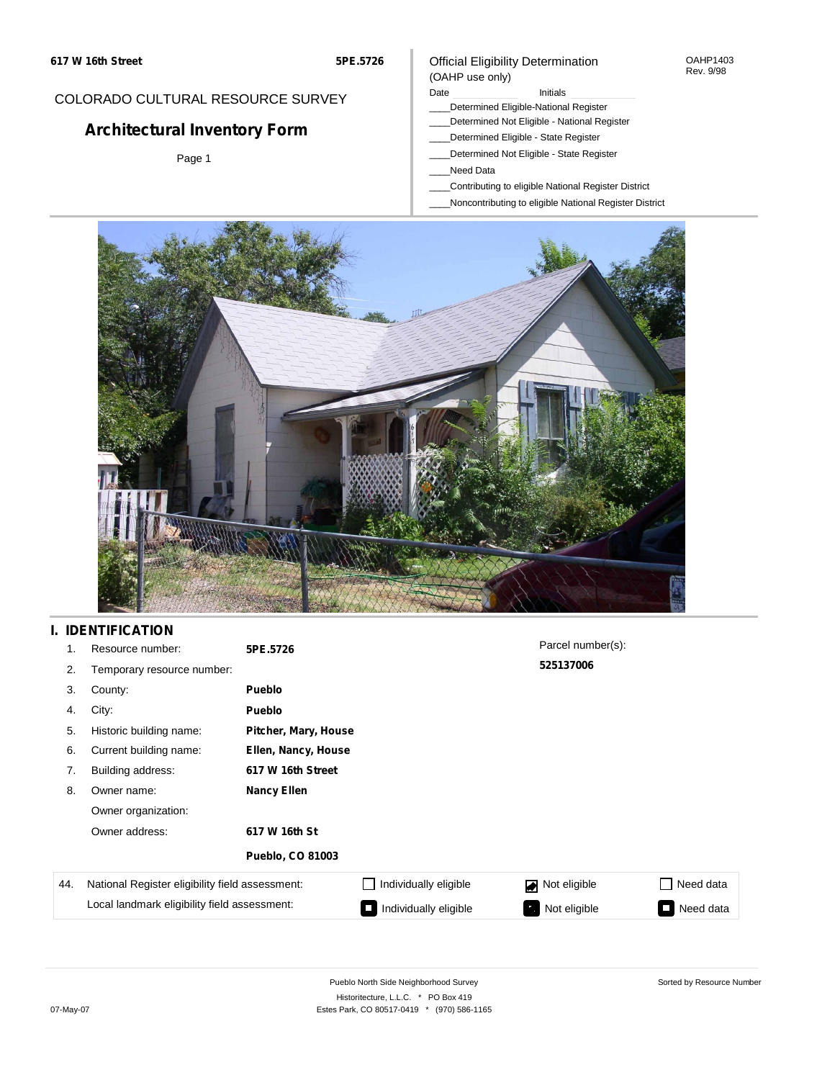#### OAHP1403 Rev. 9/98

## COLORADO CULTURAL RESOURCE SURVEY

# **Architectural Inventory Form**

Page 1

## (OAHP use only)

Official Eligibility Determination

### Date **Initials** Initials

- \_\_\_\_Determined Eligible-National Register
- \_\_\_\_Determined Not Eligible National Register
- \_\_\_\_Determined Eligible State Register \_\_\_\_Determined Not Eligible - State Register
- 
- \_\_\_\_Need Data
- \_\_\_\_Contributing to eligible National Register District
- \_\_\_\_Noncontributing to eligible National Register District



## **I. IDENTIFICATION**

| 1.  | Resource number:                                                                                | 5PE.5726                |                       | Parcel number(s): |                         |
|-----|-------------------------------------------------------------------------------------------------|-------------------------|-----------------------|-------------------|-------------------------|
| 2.  | Temporary resource number:                                                                      |                         |                       | 525137006         |                         |
| 3.  | County:                                                                                         | <b>Pueblo</b>           |                       |                   |                         |
| 4.  | City:                                                                                           | <b>Pueblo</b>           |                       |                   |                         |
| 5.  | Historic building name:                                                                         | Pitcher, Mary, House    |                       |                   |                         |
| 6.  | Current building name:                                                                          | Ellen, Nancy, House     |                       |                   |                         |
| 7.  | Building address:                                                                               | 617 W 16th Street       |                       |                   |                         |
| 8.  | Owner name:                                                                                     | <b>Nancy Ellen</b>      |                       |                   |                         |
|     | Owner organization:                                                                             |                         |                       |                   |                         |
|     | Owner address:                                                                                  | 617 W 16th St           |                       |                   |                         |
|     |                                                                                                 | <b>Pueblo, CO 81003</b> |                       |                   |                         |
| 44. | National Register eligibility field assessment:<br>Local landmark eligibility field assessment: |                         | Individually eligible | Not eligible      | Need data               |
|     |                                                                                                 |                         | Individually eligible | Not eligible      | Need data<br><b>COL</b> |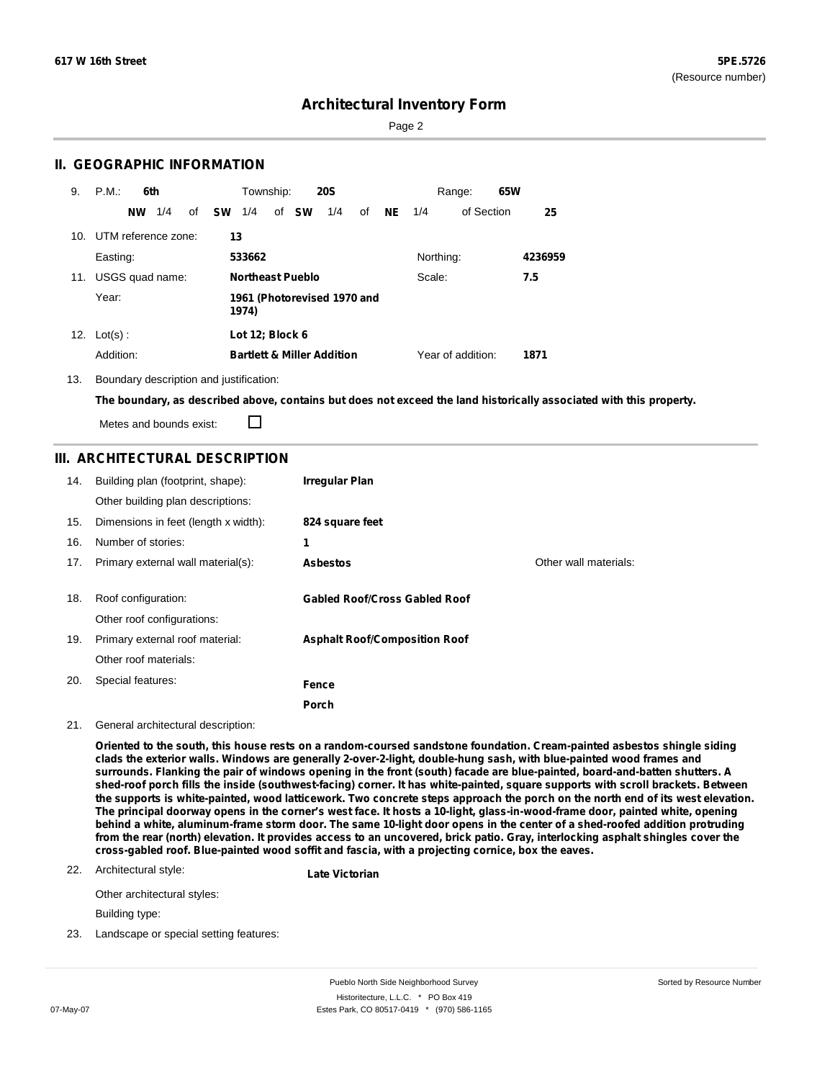Page 2

### **II. GEOGRAPHIC INFORMATION**

| 9.  | P.M.<br>6th            | Township:<br><b>20S</b>                       | 65W<br>Range:                  |         |
|-----|------------------------|-----------------------------------------------|--------------------------------|---------|
|     | 1/4<br><b>NW</b><br>of | <b>SW</b><br>of <b>SW</b><br>1/4<br>1/4<br>of | <b>NE</b><br>of Section<br>1/4 | 25      |
| 10. | UTM reference zone:    | 13                                            |                                |         |
|     | Easting:               | 533662                                        | Northing:                      | 4236959 |
| 11. | USGS quad name:        | <b>Northeast Pueblo</b>                       | Scale:<br>7.5                  |         |
|     | Year:                  | 1961 (Photorevised 1970 and<br>1974)          |                                |         |
|     | 12. $Lot(s)$ :         | Lot 12; Block 6                               |                                |         |
|     | Addition:              | <b>Bartlett &amp; Miller Addition</b>         | Year of addition:              | 1871    |

#### 13. Boundary description and justification:

The boundary, as described above, contains but does not exceed the land historically associated with this property.

П Metes and bounds exist:

### **III. ARCHITECTURAL DESCRIPTION**

| 14. | Building plan (footprint, shape):<br>Other building plan descriptions: | <b>Irregular Plan</b>                |                       |
|-----|------------------------------------------------------------------------|--------------------------------------|-----------------------|
| 15. | Dimensions in feet (length x width):                                   | 824 square feet                      |                       |
| 16. | Number of stories:                                                     | 1                                    |                       |
| 17. | Primary external wall material(s):                                     | <b>Asbestos</b>                      | Other wall materials: |
|     |                                                                        |                                      |                       |
| 18. | Roof configuration:                                                    | <b>Gabled Roof/Cross Gabled Roof</b> |                       |
|     | Other roof configurations:                                             |                                      |                       |
| 19. | Primary external roof material:                                        | <b>Asphalt Roof/Composition Roof</b> |                       |
|     | Other roof materials:                                                  |                                      |                       |
| 20. | Special features:                                                      | Fence                                |                       |
|     |                                                                        | Porch                                |                       |

#### 21. General architectural description:

Oriented to the south, this house rests on a random-coursed sandstone foundation. Cream-painted asbestos shingle siding **clads the exterior walls. Windows are generally 2-over-2-light, double-hung sash, with blue-painted wood frames and** surrounds. Flanking the pair of windows opening in the front (south) facade are blue-painted, board-and-batten shutters. A shed-roof porch fills the inside (southwest-facing) corner. It has white-painted, square supports with scroll brackets. Between the supports is white-painted, wood latticework. Two concrete steps approach the porch on the north end of its west elevation. The principal doorway opens in the corner's west face. It hosts a 10-light, glass-in-wood-frame door, painted white, opening behind a white, aluminum-frame storm door. The same 10-light door opens in the center of a shed-roofed addition protruding from the rear (north) elevation. It provides access to an uncovered, brick patio. Gray, interlocking asphalt shingles cover the **cross-gabled roof. Blue-painted wood soffit and fascia, with a projecting cornice, box the eaves.**

#### 22. Architectural style:

**Late Victorian**

Other architectural styles:

Building type:

23. Landscape or special setting features: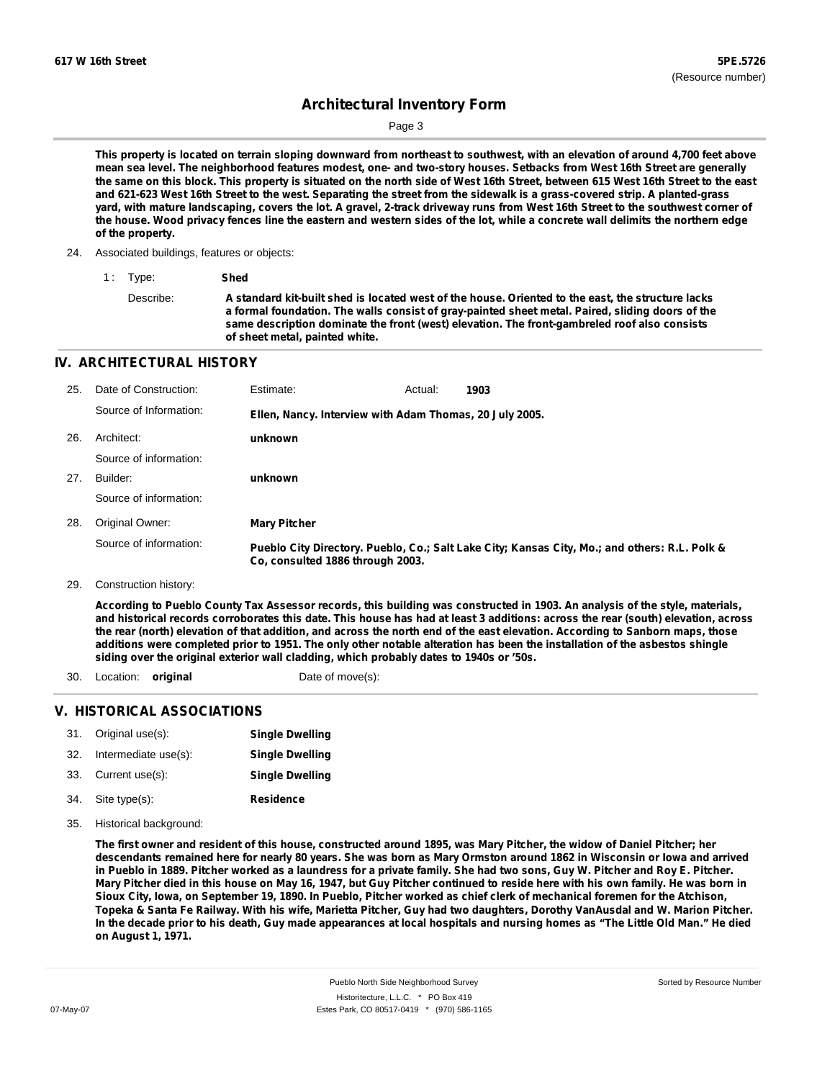Page 3

This property is located on terrain sloping downward from northeast to southwest, with an elevation of around 4,700 feet above mean sea level. The neighborhood features modest, one- and two-story houses. Setbacks from West 16th Street are generally the same on this block. This property is situated on the north side of West 16th Street, between 615 West 16th Street to the east and 621-623 West 16th Street to the west. Separating the street from the sidewalk is a grass-covered strip. A planted-grass yard, with mature landscaping, covers the lot. A gravel, 2-track driveway runs from West 16th Street to the southwest corner of the house. Wood privacy fences line the eastern and western sides of the lot, while a concrete wall delimits the northern edge **of the property.**

**same description dominate the front (west) elevation. The front-gambreled roof also consists**

24. Associated buildings, features or objects:

**of sheet metal, painted white.**

**IV. ARCHITECTURAL HISTORY**

| 25. | Date of Construction:  | Estimate:                                               | Actual: | 1903                                                                                          |
|-----|------------------------|---------------------------------------------------------|---------|-----------------------------------------------------------------------------------------------|
|     | Source of Information: | Ellen, Nancy. Interview with Adam Thomas, 20 July 2005. |         |                                                                                               |
| 26. | Architect:             | unknown                                                 |         |                                                                                               |
|     | Source of information: |                                                         |         |                                                                                               |
| 27. | Builder:               | unknown                                                 |         |                                                                                               |
|     | Source of information: |                                                         |         |                                                                                               |
| 28. | Original Owner:        | <b>Mary Pitcher</b>                                     |         |                                                                                               |
|     | Source of information: | Co, consulted 1886 through 2003.                        |         | Pueblo City Directory. Pueblo, Co.; Salt Lake City; Kansas City, Mo.; and others: R.L. Polk & |

29. Construction history:

According to Pueblo County Tax Assessor records, this building was constructed in 1903. An analysis of the style, materials, and historical records corroborates this date. This house has had at least 3 additions: across the rear (south) elevation, across the rear (north) elevation of that addition, and across the north end of the east elevation. According to Sanborn maps, those additions were completed prior to 1951. The only other notable alteration has been the installation of the asbestos shingle **siding over the original exterior wall cladding, which probably dates to 1940s or '50s.**

30. Location: **original** Date of move(s):

### **V. HISTORICAL ASSOCIATIONS**

|     | 31. Original use(s): | <b>Single Dwelling</b> |
|-----|----------------------|------------------------|
| 32. | Intermediate use(s): | <b>Single Dwelling</b> |
|     | 33. Current use(s):  | <b>Single Dwelling</b> |
| 34. | Site type(s):        | <b>Residence</b>       |

Historical background: 35.

> The first owner and resident of this house, constructed around 1895, was Mary Pitcher, the widow of Daniel Pitcher; her descendants remained here for nearly 80 years. She was born as Mary Ormston around 1862 in Wisconsin or lowa and arrived in Pueblo in 1889. Pitcher worked as a laundress for a private family. She had two sons, Guy W. Pitcher and Roy E. Pitcher. Mary Pitcher died in this house on May 16, 1947, but Guy Pitcher continued to reside here with his own family. He was born in Sioux City, Iowa, on September 19, 1890. In Pueblo, Pitcher worked as chief clerk of mechanical foremen for the Atchison, Topeka & Santa Fe Railway. With his wife, Marietta Pitcher, Guy had two daughters, Dorothy VanAusdal and W. Marion Pitcher. In the decade prior to his death, Guy made appearances at local hospitals and nursing homes as "The Little Old Man." He died **on August 1, 1971.**

<sup>1</sup> : Type: **Shed** Describe: A standard kit-built shed is located west of the house. Oriented to the east, the structure lacks **a formal foundation. The walls consist of gray-painted sheet metal. Paired, sliding doors of the**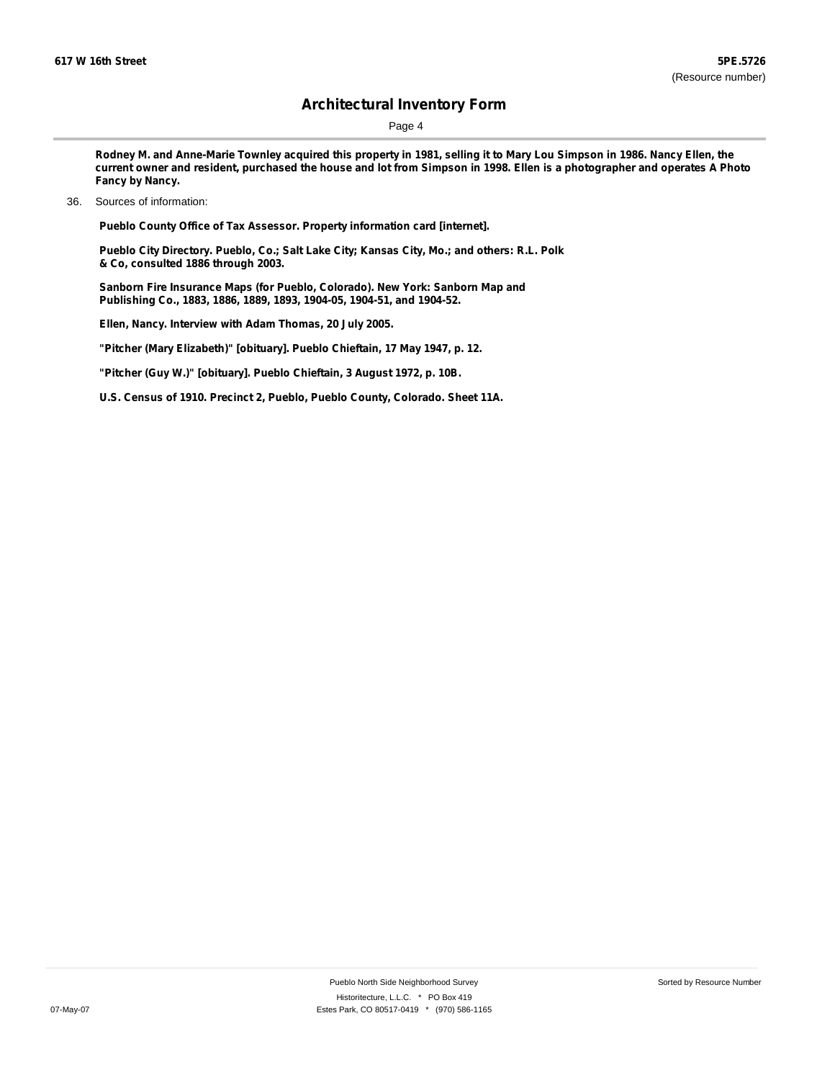Page 4

Rodney M. and Anne-Marie Townley acquired this property in 1981, selling it to Mary Lou Simpson in 1986. Nancy Ellen, the current owner and resident, purchased the house and lot from Simpson in 1998. Ellen is a photographer and operates A Photo **Fancy by Nancy.**

**Pueblo County Office of Tax Assessor. Property information card [internet].**

**Pueblo City Directory. Pueblo, Co.; Salt Lake City; Kansas City, Mo.; and others: R.L. Polk & Co, consulted 1886 through 2003.**

**Sanborn Fire Insurance Maps (for Pueblo, Colorado). New York: Sanborn Map and Publishing Co., 1883, 1886, 1889, 1893, 1904-05, 1904-51, and 1904-52.**

**Ellen, Nancy. Interview with Adam Thomas, 20 July 2005.**

**"Pitcher (Mary Elizabeth)" [obituary]. Pueblo Chieftain, 17 May 1947, p. 12.**

**"Pitcher (Guy W.)" [obituary]. Pueblo Chieftain, 3 August 1972, p. 10B.**

**U.S. Census of 1910. Precinct 2, Pueblo, Pueblo County, Colorado. Sheet 11A.**

<sup>36.</sup> Sources of information: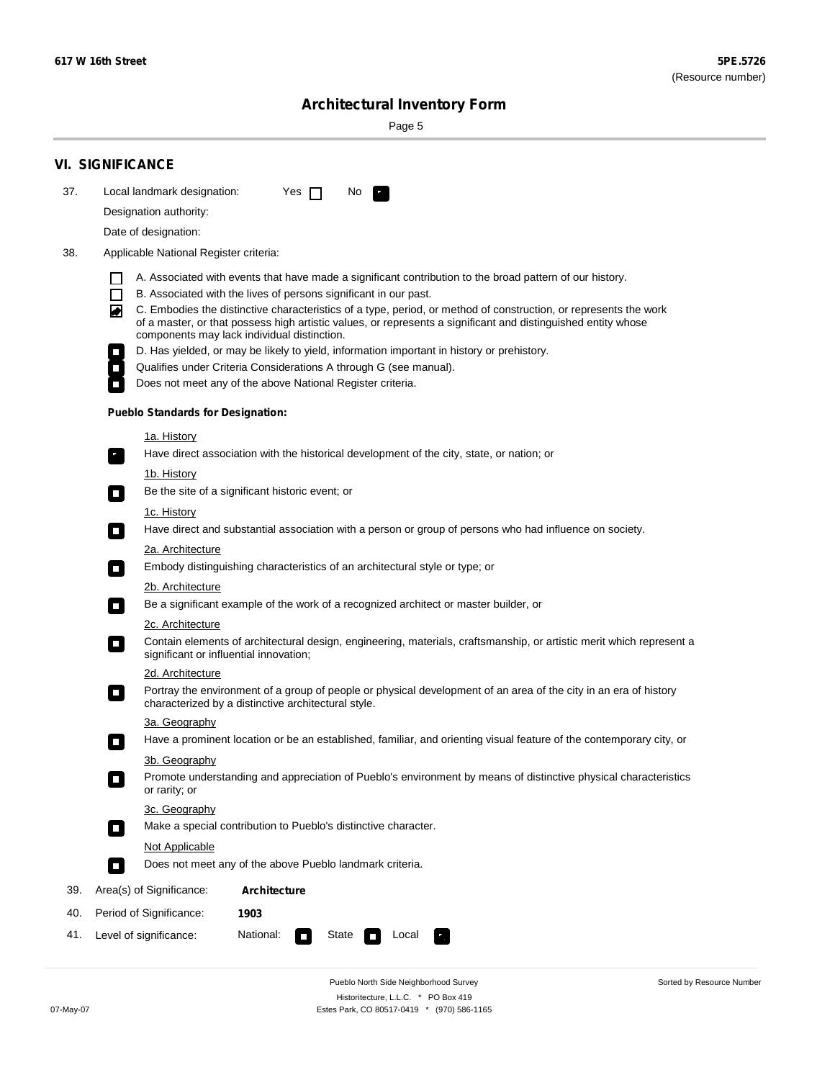÷

Sorted by Resource Number

# **Architectural Inventory Form**

Page 5

|     | <b>VI. SIGNIFICANCE</b>                                                                                                                                                                                                                                                               |  |  |  |
|-----|---------------------------------------------------------------------------------------------------------------------------------------------------------------------------------------------------------------------------------------------------------------------------------------|--|--|--|
| 37. | Local landmark designation:<br>Yes $\Box$<br>No.<br>$\mathbf{F}$                                                                                                                                                                                                                      |  |  |  |
|     | Designation authority:                                                                                                                                                                                                                                                                |  |  |  |
|     | Date of designation:                                                                                                                                                                                                                                                                  |  |  |  |
| 38. | Applicable National Register criteria:                                                                                                                                                                                                                                                |  |  |  |
|     | A. Associated with events that have made a significant contribution to the broad pattern of our history.                                                                                                                                                                              |  |  |  |
|     | $\Box$<br>B. Associated with the lives of persons significant in our past.                                                                                                                                                                                                            |  |  |  |
|     | C. Embodies the distinctive characteristics of a type, period, or method of construction, or represents the work<br>◙<br>of a master, or that possess high artistic values, or represents a significant and distinguished entity whose<br>components may lack individual distinction. |  |  |  |
|     | D. Has yielded, or may be likely to yield, information important in history or prehistory.                                                                                                                                                                                            |  |  |  |
|     | Qualifies under Criteria Considerations A through G (see manual).                                                                                                                                                                                                                     |  |  |  |
|     | Does not meet any of the above National Register criteria.                                                                                                                                                                                                                            |  |  |  |
|     | <b>Pueblo Standards for Designation:</b>                                                                                                                                                                                                                                              |  |  |  |
|     | <u>1a. History</u>                                                                                                                                                                                                                                                                    |  |  |  |
|     | Have direct association with the historical development of the city, state, or nation; or<br>$\overline{\phantom{a}}$ .                                                                                                                                                               |  |  |  |
|     | <u>1b. History</u>                                                                                                                                                                                                                                                                    |  |  |  |
|     | Be the site of a significant historic event; or<br>$\Box$                                                                                                                                                                                                                             |  |  |  |
|     | 1c. History                                                                                                                                                                                                                                                                           |  |  |  |
|     | Have direct and substantial association with a person or group of persons who had influence on society.<br>$\Box$                                                                                                                                                                     |  |  |  |
|     | 2a. Architecture                                                                                                                                                                                                                                                                      |  |  |  |
|     | Embody distinguishing characteristics of an architectural style or type; or<br>$\Box$                                                                                                                                                                                                 |  |  |  |
|     | 2b. Architecture                                                                                                                                                                                                                                                                      |  |  |  |
|     | Be a significant example of the work of a recognized architect or master builder, or<br>$\mathcal{L}_{\mathcal{A}}$                                                                                                                                                                   |  |  |  |
|     | 2c. Architecture                                                                                                                                                                                                                                                                      |  |  |  |
|     | Contain elements of architectural design, engineering, materials, craftsmanship, or artistic merit which represent a<br>О<br>significant or influential innovation;                                                                                                                   |  |  |  |
|     | 2d. Architecture                                                                                                                                                                                                                                                                      |  |  |  |
|     | Portray the environment of a group of people or physical development of an area of the city in an era of history<br>О<br>characterized by a distinctive architectural style.                                                                                                          |  |  |  |
|     | 3a. Geography                                                                                                                                                                                                                                                                         |  |  |  |
|     | Have a prominent location or be an established, familiar, and orienting visual feature of the contemporary city, or                                                                                                                                                                   |  |  |  |
|     | 3b. Geography<br>Promote understanding and appreciation of Pueblo's environment by means of distinctive physical characteristics<br>or rarity; or                                                                                                                                     |  |  |  |
|     | 3c. Geography                                                                                                                                                                                                                                                                         |  |  |  |
|     | Make a special contribution to Pueblo's distinctive character.<br>$\Box$                                                                                                                                                                                                              |  |  |  |
|     | Not Applicable                                                                                                                                                                                                                                                                        |  |  |  |
|     | Does not meet any of the above Pueblo landmark criteria.<br>П                                                                                                                                                                                                                         |  |  |  |
| 39. | Area(s) of Significance:<br><b>Architecture</b>                                                                                                                                                                                                                                       |  |  |  |
| 40. | Period of Significance:<br>1903                                                                                                                                                                                                                                                       |  |  |  |
| 41. | National:<br>Level of significance:<br>Local<br>State<br>$\Box$                                                                                                                                                                                                                       |  |  |  |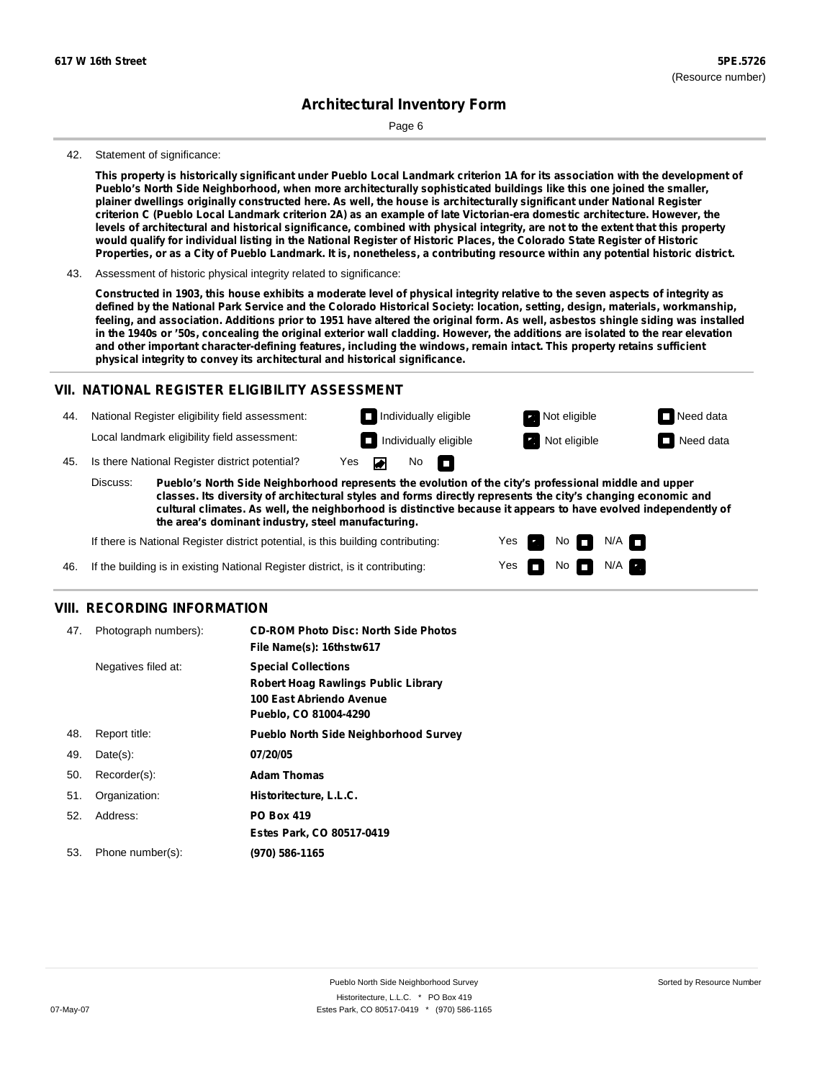Page 6

#### 42. Statement of significance:

This property is historically significant under Pueblo Local Landmark criterion 1A for its association with the development of **Pueblo's North Side Neighborhood, when more architecturally sophisticated buildings like this one joined the smaller,** plainer dwellings originally constructed here. As well, the house is architecturally significant under National Register criterion C (Pueblo Local Landmark criterion 2A) as an example of late Victorian-era domestic architecture. However, the levels of architectural and historical significance, combined with physical integrity, are not to the extent that this property would qualify for individual listing in the National Register of Historic Places, the Colorado State Register of Historic Properties, or as a City of Pueblo Landmark. It is, nonetheless, a contributing resource within any potential historic district.

#### 43. Assessment of historic physical integrity related to significance:

Constructed in 1903, this house exhibits a moderate level of physical integrity relative to the seven aspects of integrity as defined by the National Park Service and the Colorado Historical Society: location, setting, design, materials, workmanship, feeling, and association. Additions prior to 1951 have altered the original form. As well, asbestos shingle siding was installed in the 1940s or '50s, concealing the original exterior wall cladding. However, the additions are isolated to the rear elevation **and other important character-defining features, including the windows, remain intact. This property retains sufficient physical integrity to convey its architectural and historical significance.**

#### **VII. NATIONAL REGISTER ELIGIBILITY ASSESSMENT**

44. National Register eligibility field assessment: Local landmark eligibility field assessment:

45. Is there National Register district potential? Yes **Individually eligible Not eligible** Not eligible **Need data** 

**Pueblo's North Side Neighborhood represents the evolution of the city's professional middle and upper classes. Its diversity of architectural styles and forms directly represents the city's changing economic and cultural climates. As well, the neighborhood is distinctive because it appears to have evolved independently of the area's dominant industry, steel manufacturing.** Discuss:

No

m

Yes Yes No

**Individually eligible Not eligible** Not eligible **Need data** 

 $No$   $M/A$ 

 $N/A$ 

If there is National Register district potential, is this building contributing:

If the building is in existing National Register district, is it contributing: 46.

### **VIII. RECORDING INFORMATION**

| 47. | Photograph numbers): | <b>CD-ROM Photo Disc: North Side Photos</b><br>File Name(s): 16thstw617                                                       |
|-----|----------------------|-------------------------------------------------------------------------------------------------------------------------------|
|     | Negatives filed at:  | <b>Special Collections</b><br><b>Robert Hoag Rawlings Public Library</b><br>100 East Abriendo Avenue<br>Pueblo, CO 81004-4290 |
| 48. | Report title:        | <b>Pueblo North Side Neighborhood Survey</b>                                                                                  |
| 49. | $Date(s)$ :          | 07/20/05                                                                                                                      |
| 50. | Recorder(s):         | <b>Adam Thomas</b>                                                                                                            |
| 51. | Organization:        | Historitecture, L.L.C.                                                                                                        |
| 52. | Address:             | <b>PO Box 419</b>                                                                                                             |
|     |                      | Estes Park, CO 80517-0419                                                                                                     |
| 53. | Phone number(s):     | (970) 586-1165                                                                                                                |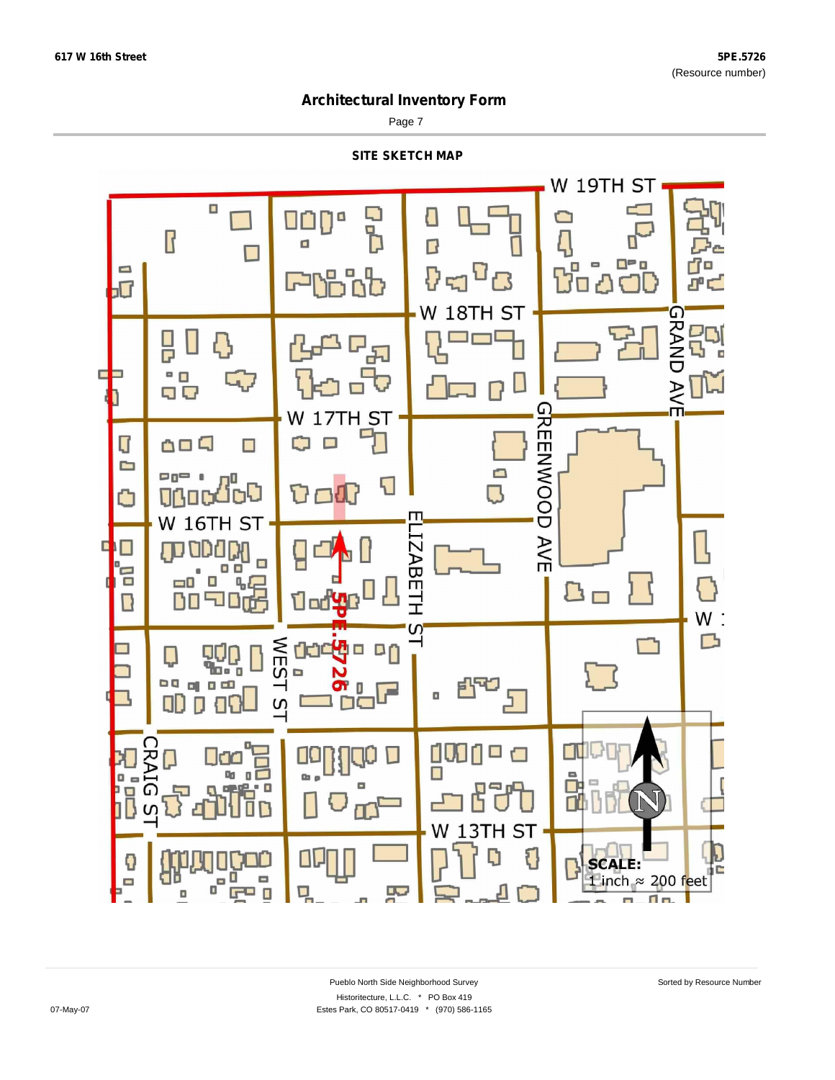Page 7